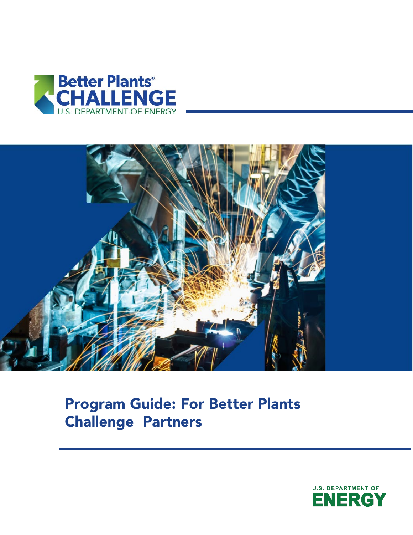



# Program Guide: For Better Plants Challenge Partners

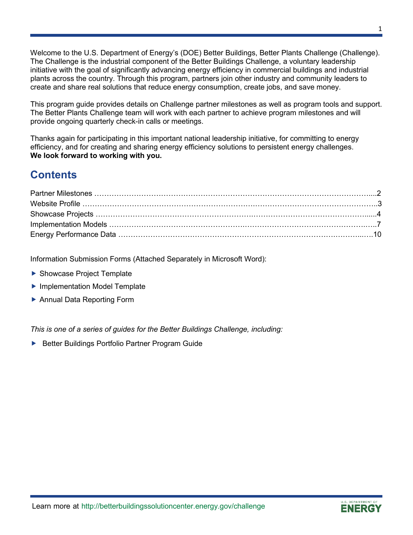Welcome to the U.S. Department of Energy's (DOE) Better Buildings, Better Plants Challenge (Challenge). The Challenge is the industrial component of the Better Buildings Challenge, a voluntary leadership initiative with the goal of significantly advancing energy efficiency in commercial buildings and industrial plants across the country. Through this program, partners join other industry and community leaders to create and share real solutions that reduce energy consumption, create jobs, and save money.

This program guide provides details on Challenge partner milestones as well as program tools and support. The Better Plants Challenge team will work with each partner to achieve program milestones and will provide ongoing quarterly check-in calls or meetings.

Thanks again for participating in this important national leadership initiative, for committing to energy efficiency, and for creating and sharing energy efficiency solutions to persistent energy challenges. **We look forward to working with you.**

## **Contents**

Information Submission Forms (Attached Separately in Microsoft Word):

- ▶ Showcase Project Template
- ▶ Implementation Model Template
- ▶ Annual Data Reporting Form

*This is one of a series of guides for the Better Buildings Challenge, including:*

▶ Better Buildings Portfolio Partner Program Guide

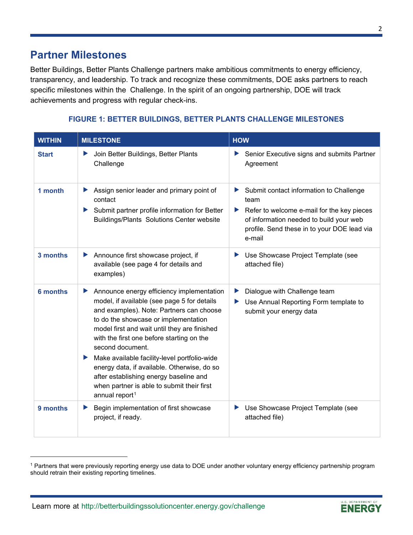Better Buildings, Better Plants Challenge partners make ambitious commitments to energy efficiency, transparency, and leadership. To track and recognize these commitments, DOE asks partners to reach specific milestones within the Challenge. In the spirit of an ongoing partnership, DOE will track achievements and progress with regular check-ins.

### **FIGURE 1: BETTER BUILDINGS, BETTER PLANTS CHALLENGE MILESTONES**

| <b>WITHIN</b>   | <b>MILESTONE</b>                                                                                                                                                                                                                                                                                                                                                                                                                                                                                                             | <b>HOW</b>                                                                                                                                                                                                  |
|-----------------|------------------------------------------------------------------------------------------------------------------------------------------------------------------------------------------------------------------------------------------------------------------------------------------------------------------------------------------------------------------------------------------------------------------------------------------------------------------------------------------------------------------------------|-------------------------------------------------------------------------------------------------------------------------------------------------------------------------------------------------------------|
| <b>Start</b>    | Join Better Buildings, Better Plants<br>▶<br>Challenge                                                                                                                                                                                                                                                                                                                                                                                                                                                                       | Senior Executive signs and submits Partner<br>Agreement                                                                                                                                                     |
| 1 month         | Assign senior leader and primary point of<br>▶<br>contact<br>Submit partner profile information for Better<br>▶<br>Buildings/Plants Solutions Center website                                                                                                                                                                                                                                                                                                                                                                 | Submit contact information to Challenge<br>▶<br>team<br>Refer to welcome e-mail for the key pieces<br>▶<br>of information needed to build your web<br>profile. Send these in to your DOE lead via<br>e-mail |
| 3 months        | Announce first showcase project, if<br>▶<br>available (see page 4 for details and<br>examples)                                                                                                                                                                                                                                                                                                                                                                                                                               | Use Showcase Project Template (see<br>attached file)                                                                                                                                                        |
| <b>6 months</b> | Announce energy efficiency implementation<br>▶<br>model, if available (see page 5 for details<br>and examples). Note: Partners can choose<br>to do the showcase or implementation<br>model first and wait until they are finished<br>with the first one before starting on the<br>second document.<br>Make available facility-level portfolio-wide<br>▶<br>energy data, if available. Otherwise, do so<br>after establishing energy baseline and<br>when partner is able to submit their first<br>annual report <sup>1</sup> | Dialogue with Challenge team<br>▶<br>Use Annual Reporting Form template to<br>submit your energy data                                                                                                       |
| 9 months        | Begin implementation of first showcase<br>▶<br>project, if ready.                                                                                                                                                                                                                                                                                                                                                                                                                                                            | Use Showcase Project Template (see<br>▶<br>attached file)                                                                                                                                                   |

<span id="page-2-0"></span><sup>&</sup>lt;sup>1</sup> Partners that were previously reporting energy use data to DOE under another voluntary energy efficiency partnership program should retrain their existing reporting timelines.

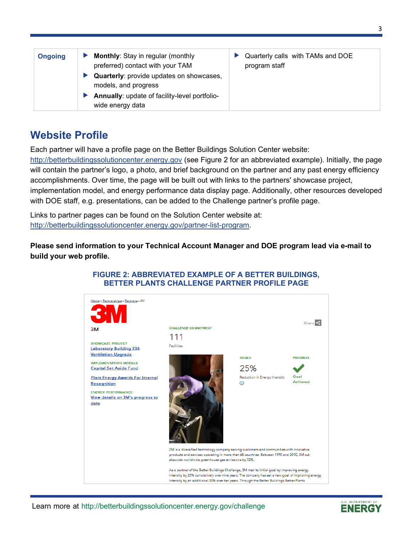| <b>Ongoing</b> | <b>Monthly: Stay in regular (monthly</b><br>preferred) contact with your TAM | Quarterly calls with TAMs and DOE<br>program staff |
|----------------|------------------------------------------------------------------------------|----------------------------------------------------|
|                | <b>Quarterly:</b> provide updates on showcases,<br>models, and progress      |                                                    |
|                | Annually: update of facility-level portfolio-<br>wide energy data            |                                                    |

## **Website Profile**

Each partner will have a profile page on the Better Buildings Solution Center website:

[http://betterbuildingssolutioncenter.energy.gov](http://betterbuildingssolutioncenter.energy.gov/) (see Figure 2 for an abbreviated example). Initially, the page will contain the partner's logo, a photo, and brief background on the partner and any past energy efficiency accomplishments. Over time, the page will be built out with links to the partners' showcase project, implementation model, and energy performance data display page. Additionally, other resources developed with DOE staff, e.g. presentations, can be added to the Challenge partner's profile page.

Links to partner pages can be found on the Solution Center website at: [http://betterbuildingssolutioncenter.energy.gov/partner-list-program.](http://betterbuildingssolutioncenter.energy.gov/partner-list-program)

**Please send information to your Technical Account Manager and DOE program lead via e-mail to build your web profile.** 



## **FIGURE 2: ABBREVIATED EXAMPLE OF A BETTER BUILDINGS, BETTER PLANTS CHALLENGE PARTNER PROFILE PAGE**

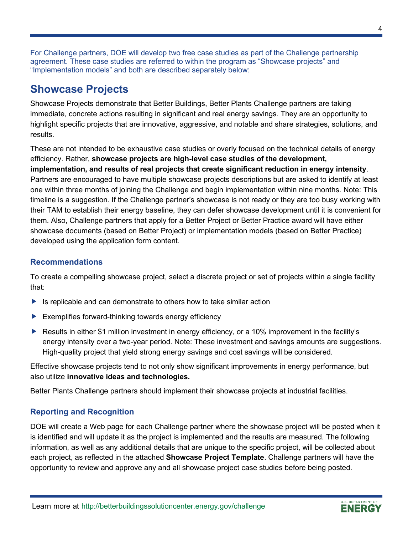For Challenge partners, DOE will develop two free case studies as part of the Challenge partnership agreement. These case studies are referred to within the program as "Showcase projects" and "Implementation models" and both are described separately below:

## **Showcase Projects**

Showcase Projects demonstrate that Better Buildings, Better Plants Challenge partners are taking immediate, concrete actions resulting in significant and real energy savings. They are an opportunity to highlight specific projects that are innovative, aggressive, and notable and share strategies, solutions, and results.

These are not intended to be exhaustive case studies or overly focused on the technical details of energy efficiency. Rather, **showcase projects are high-level case studies of the development, implementation, and results of real projects that create significant reduction in energy intensity**. Partners are encouraged to have multiple showcase projects descriptions but are asked to identify at least one within three months of joining the Challenge and begin implementation within nine months. Note: This timeline is a suggestion. If the Challenge partner's showcase is not ready or they are too busy working with their TAM to establish their energy baseline, they can defer showcase development until it is convenient for them. Also, Challenge partners that apply for a Better Project or Better Practice award will have either showcase documents (based on Better Project) or implementation models (based on Better Practice) developed using the application form content.

### **Recommendations**

To create a compelling showcase project, select a discrete project or set of projects within a single facility that:

- $\blacktriangleright$  Is replicable and can demonstrate to others how to take similar action
- $\blacktriangleright$  Exemplifies forward-thinking towards energy efficiency
- ▶ Results in either \$1 million investment in energy efficiency, or a 10% improvement in the facility's energy intensity over a two-year period. Note: These investment and savings amounts are suggestions. High-quality project that yield strong energy savings and cost savings will be considered.

Effective showcase projects tend to not only show significant improvements in energy performance, but also utilize **innovative ideas and technologies.**

Better Plants Challenge partners should implement their showcase projects at industrial facilities.

## **Reporting and Recognition**

DOE will create a Web page for each Challenge partner where the showcase project will be posted when it is identified and will update it as the project is implemented and the results are measured. The following information, as well as any additional details that are unique to the specific project, will be collected about each project, as reflected in the attached **Showcase Project Template**. Challenge partners will have the opportunity to review and approve any and all showcase project case studies before being posted.

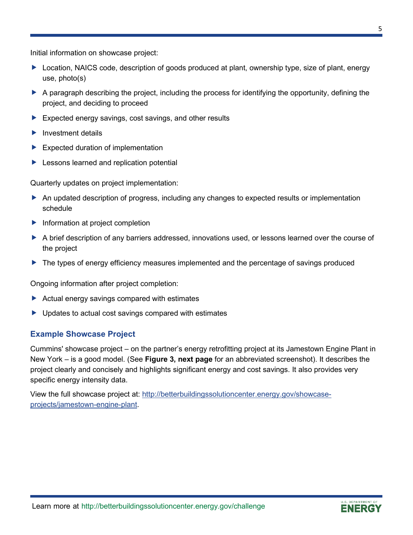#### Initial information on showcase project:

- ▶ Location, NAICS code, description of goods produced at plant, ownership type, size of plant, energy use, photo(s)
- A paragraph describing the project, including the process for identifying the opportunity, defining the project, and deciding to proceed
- Expected energy savings, cost savings, and other results
- $\blacktriangleright$  Investment details
- $\blacktriangleright$  Expected duration of implementation
- **Lessons learned and replication potential**

Quarterly updates on project implementation:

- An updated description of progress, including any changes to expected results or implementation schedule
- Information at project completion
- A brief description of any barriers addressed, innovations used, or lessons learned over the course of the project
- ▶ The types of energy efficiency measures implemented and the percentage of savings produced

Ongoing information after project completion:

- Actual energy savings compared with estimates
- ▶ Updates to actual cost savings compared with estimates

## **Example Showcase Project**

Cummins' showcase project – on the partner's energy retrofitting project at its Jamestown Engine Plant in New York – is a good model. (See **Figure 3, next page** for an abbreviated screenshot). It describes the project clearly and concisely and highlights significant energy and cost savings. It also provides very specific energy intensity data.

View the full showcase project at: [http://betterbuildingssolutioncenter.energy.gov/showcase](http://betterbuildingssolutioncenter.energy.gov/showcase-projects/jamestown-engine-plant)[projects/jamestown-engine-plant.](http://betterbuildingssolutioncenter.energy.gov/showcase-projects/jamestown-engine-plant)

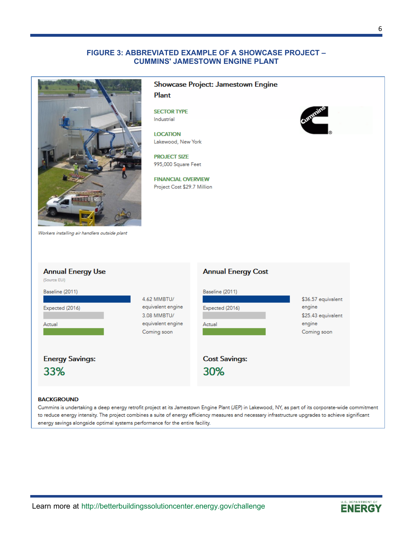#### **FIGURE 3: ABBREVIATED EXAMPLE OF A SHOWCASE PROJECT – CUMMINS' JAMESTOWN ENGINE PLANT**



#### Showcase Project: Jamestown Engine Plant

**SECTOR TYPE** Industrial

**LOCATION** Lakewood, New York

**PROJECT SIZE** 995,000 Square Feet

**FINANCIAL OVERVIEW** Project Cost \$29.7 Million



Workers installing air handlers outside plant

| <b>Annual Energy Use</b><br>(Source EUI)     |                                                                                     | <b>Annual Energy Cost</b>                    |                                                                             |
|----------------------------------------------|-------------------------------------------------------------------------------------|----------------------------------------------|-----------------------------------------------------------------------------|
| Baseline (2011)<br>Expected (2016)<br>Actual | 4.62 MMBTU/<br>equivalent engine<br>3.08 MMBTU/<br>equivalent engine<br>Coming soon | Baseline (2011)<br>Expected (2016)<br>Actual | \$36.57 equivalent<br>engine<br>\$25.43 equivalent<br>engine<br>Coming soon |
| <b>Energy Savings:</b><br>33%                |                                                                                     | <b>Cost Savings:</b><br>30%                  |                                                                             |

#### **BACKGROUND**

Cummins is undertaking a deep energy retrofit project at its Jamestown Engine Plant (JEP) in Lakewood, NY, as part of its corporate-wide commitment to reduce energy intensity. The project combines a suite of energy efficiency measures and necessary infrastructure upgrades to achieve significant energy savings alongside optimal systems performance for the entire facility.

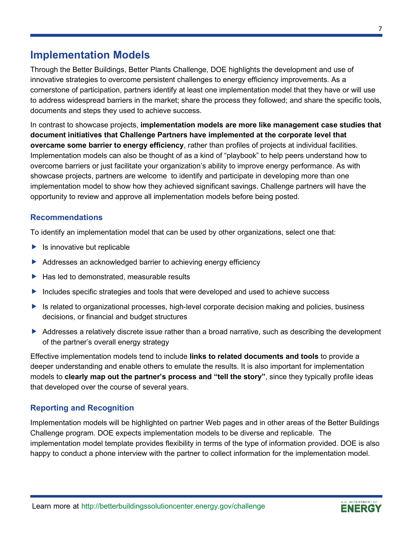## **Implementation Models**

Through the Better Buildings, Better Plants Challenge, DOE highlights the development and use of innovative strategies to overcome persistent challenges to energy efficiency improvements. As a cornerstone of participation, partners identify at least one implementation model that they have or will use to address widespread barriers in the market; share the process they followed; and share the specific tools, documents and steps they used to achieve success.

In contrast to showcase projects, **implementation models are more like management case studies that document initiatives that Challenge Partners have implemented at the corporate level that overcame some barrier to energy efficiency**, rather than profiles of projects at individual facilities. Implementation models can also be thought of as a kind of "playbook" to help peers understand how to overcome barriers or just facilitate your organization's ability to improve energy performance. As with showcase projects, partners are welcome to identify and participate in developing more than one implementation model to show how they achieved significant savings. Challenge partners will have the opportunity to review and approve all implementation models before being posted.

### **Recommendations**

To identify an implementation model that can be used by other organizations, select one that:

- $\blacktriangleright$  Is innovative but replicable
- Addresses an acknowledged barrier to achieving energy efficiency
- $\blacktriangleright$  Has led to demonstrated, measurable results
- Includes specific strategies and tools that were developed and used to achieve success
- ▶ Is related to organizational processes, high-level corporate decision making and policies, business decisions, or financial and budget structures
- Addresses a relatively discrete issue rather than a broad narrative, such as describing the development of the partner's overall energy strategy

Effective implementation models tend to include **links to related documents and tools** to provide a deeper understanding and enable others to emulate the results. It is also important for implementation models to **clearly map out the partner's process and "tell the story"**, since they typically profile ideas that developed over the course of several years.

## **Reporting and Recognition**

Implementation models will be highlighted on partner Web pages and in other areas of the Better Buildings Challenge program. DOE expects implementation models to be diverse and replicable. The implementation model template provides flexibility in terms of the type of information provided. DOE is also happy to conduct a phone interview with the partner to collect information for the implementation model.

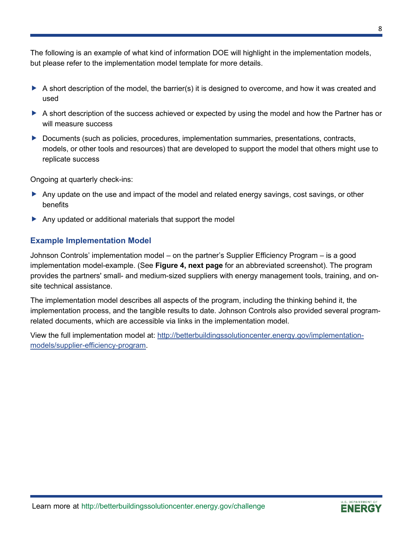The following is an example of what kind of information DOE will highlight in the implementation models, but please refer to the implementation model template for more details.

- A short description of the model, the barrier(s) it is designed to overcome, and how it was created and used
- A short description of the success achieved or expected by using the model and how the Partner has or will measure success
- ▶ Documents (such as policies, procedures, implementation summaries, presentations, contracts, models, or other tools and resources) that are developed to support the model that others might use to replicate success

Ongoing at quarterly check-ins:

- Any update on the use and impact of the model and related energy savings, cost savings, or other benefits
- Any updated or additional materials that support the model

### **Example Implementation Model**

Johnson Controls' implementation model – on the partner's Supplier Efficiency Program – is a good implementation model-example. (See **Figure 4, next page** for an abbreviated screenshot). The program provides the partners' small- and medium-sized suppliers with energy management tools, training, and onsite technical assistance.

The implementation model describes all aspects of the program, including the thinking behind it, the implementation process, and the tangible results to date. Johnson Controls also provided several programrelated documents, which are accessible via links in the implementation model.

View the full implementation model at: [http://betterbuildingssolutioncenter.energy.gov/implementation](http://betterbuildingssolutioncenter.energy.gov/implementation-models/supplier-efficiency-program)[models/supplier-efficiency-program.](http://betterbuildingssolutioncenter.energy.gov/implementation-models/supplier-efficiency-program)

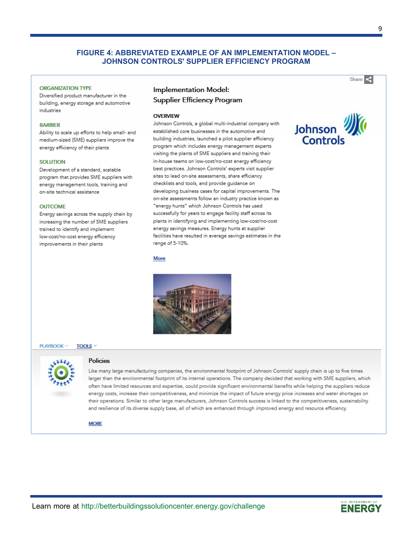#### **FIGURE 4: ABBREVIATED EXAMPLE OF AN IMPLEMENTATION MODEL – JOHNSON CONTROLS' SUPPLIER EFFICIENCY PROGRAM**

#### **ORGANIZATION TYPE**

Diversified product manufacturer in the building, energy storage and automotive industries

#### **BARRIER**

Ability to scale up efforts to help small- and medium-sized (SME) suppliers improve the energy efficiency of their plants

#### **SOLUTION**

Development of a standard, scalable program that provides SME suppliers with energy management tools, training and on-site technical assistance

#### **OUTCOME**

Energy savings across the supply chain by increasing the number of SME suppliers trained to identify and implement low-cost/no-cost energy efficiency improvements in their plants

#### **Implementation Model:**

**Supplier Efficiency Program** 

#### OVERVIEW

Johnson Controls, a global multi-industrial company with established core businesses in the automotive and building industries, launched a pilot supplier efficiency program which includes energy management experts visiting the plants of SME suppliers and training their in-house teams on low-cost/no-cost energy efficiency best practices. Johnson Controls' experts visit supplier sites to lead on-site assessments, share efficiency checklists and tools, and provide quidance on developing business cases for capital improvements. The on-site assessments follow an industry practice known as "energy hunts" which Johnson Controls has used successfully for years to engage facility staff across its plants in identifying and implementing low-cost/no-cost energy savings measures. Energy hunts at supplier facilities have resulted in average savings estimates in the range of 5-10%.

#### **More**



#### **PLAYBOOK ^ TOOLS**



#### **Policies**

Like many large manufacturing companies, the environmental footprint of Johnson Controls' supply chain is up to five times larger than the environmental footprint of its internal operations. The company decided that working with SME suppliers, which often have limited resources and expertise, could provide significant environmental benefits while helping the suppliers reduce energy costs, increase their competitiveness, and minimize the impact of future energy price increases and water shortages on their operations. Similar to other large manufacturers, Johnson Controls success is linked to the competitiveness, sustainability and resilience of its diverse supply base, all of which are enhanced through improved energy and resource efficiency.

#### **MORE**

Share <

Johnson

Controls